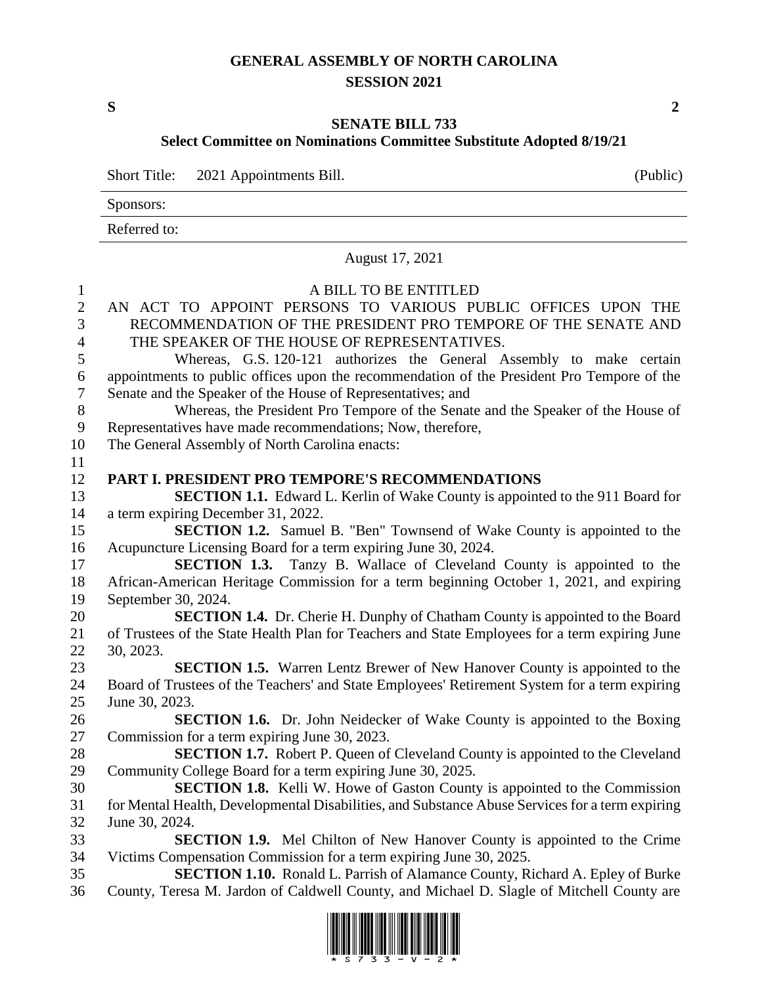## **GENERAL ASSEMBLY OF NORTH CAROLINA SESSION 2021**

**S 2**

## **SENATE BILL 733**

## **Select Committee on Nominations Committee Substitute Adopted 8/19/21**

Short Title: 2021 Appointments Bill. (Public)

Sponsors:

Referred to:

|                                | August 17, 2021                                                                                                                        |
|--------------------------------|----------------------------------------------------------------------------------------------------------------------------------------|
| $\mathbf{1}$<br>$\overline{2}$ | A BILL TO BE ENTITLED<br>AN ACT TO APPOINT PERSONS TO VARIOUS PUBLIC OFFICES UPON THE                                                  |
| $\overline{3}$                 | RECOMMENDATION OF THE PRESIDENT PRO TEMPORE OF THE SENATE AND                                                                          |
| $\overline{4}$                 | THE SPEAKER OF THE HOUSE OF REPRESENTATIVES.                                                                                           |
| 5                              | Whereas, G.S. 120-121 authorizes the General Assembly to make certain                                                                  |
| $6\,$                          | appointments to public offices upon the recommendation of the President Pro Tempore of the                                             |
| $\tau$                         | Senate and the Speaker of the House of Representatives; and                                                                            |
| 8                              | Whereas, the President Pro Tempore of the Senate and the Speaker of the House of                                                       |
| 9                              | Representatives have made recommendations; Now, therefore,                                                                             |
| 10                             | The General Assembly of North Carolina enacts:                                                                                         |
| 11<br>12                       | PART I. PRESIDENT PRO TEMPORE'S RECOMMENDATIONS                                                                                        |
| 13                             | SECTION 1.1. Edward L. Kerlin of Wake County is appointed to the 911 Board for                                                         |
| 14                             | a term expiring December 31, 2022.                                                                                                     |
| 15                             | <b>SECTION 1.2.</b> Samuel B. "Ben" Townsend of Wake County is appointed to the                                                        |
| 16                             | Acupuncture Licensing Board for a term expiring June 30, 2024.                                                                         |
| 17                             | <b>SECTION 1.3.</b> Tanzy B. Wallace of Cleveland County is appointed to the                                                           |
| 18                             | African-American Heritage Commission for a term beginning October 1, 2021, and expiring                                                |
| 19                             | September 30, 2024.                                                                                                                    |
| 20                             | <b>SECTION 1.4.</b> Dr. Cherie H. Dunphy of Chatham County is appointed to the Board                                                   |
| 21                             | of Trustees of the State Health Plan for Teachers and State Employees for a term expiring June                                         |
| 22                             | 30, 2023.                                                                                                                              |
| 23                             | <b>SECTION 1.5.</b> Warren Lentz Brewer of New Hanover County is appointed to the                                                      |
| 24                             | Board of Trustees of the Teachers' and State Employees' Retirement System for a term expiring                                          |
| 25                             | June 30, 2023.                                                                                                                         |
| 26                             | <b>SECTION 1.6.</b> Dr. John Neidecker of Wake County is appointed to the Boxing                                                       |
| 27                             | Commission for a term expiring June 30, 2023.<br><b>SECTION 1.7.</b> Robert P. Queen of Cleveland County is appointed to the Cleveland |
| 28<br>29                       | Community College Board for a term expiring June 30, 2025.                                                                             |
| 30                             | <b>SECTION 1.8.</b> Kelli W. Howe of Gaston County is appointed to the Commission                                                      |
| 31                             | for Mental Health, Developmental Disabilities, and Substance Abuse Services for a term expiring                                        |
| 32                             | June 30, 2024.                                                                                                                         |
| 33                             | <b>SECTION 1.9.</b> Mel Chilton of New Hanover County is appointed to the Crime                                                        |
| 34                             | Victims Compensation Commission for a term expiring June 30, 2025.                                                                     |
| 35                             | <b>SECTION 1.10.</b> Ronald L. Parrish of Alamance County, Richard A. Epley of Burke                                                   |
| 36                             | County, Teresa M. Jardon of Caldwell County, and Michael D. Slagle of Mitchell County are                                              |

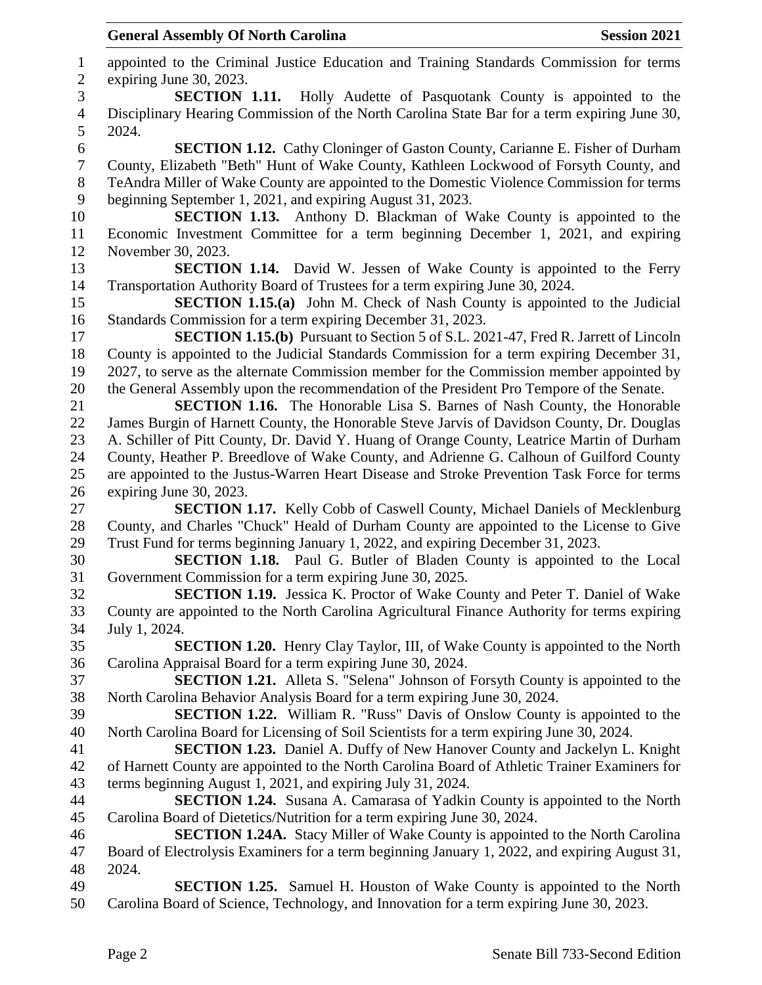appointed to the Criminal Justice Education and Training Standards Commission for terms expiring June 30, 2023. **SECTION 1.11.** Holly Audette of Pasquotank County is appointed to the Disciplinary Hearing Commission of the North Carolina State Bar for a term expiring June 30, 2024. **SECTION 1.12.** Cathy Cloninger of Gaston County, Carianne E. Fisher of Durham County, Elizabeth "Beth" Hunt of Wake County, Kathleen Lockwood of Forsyth County, and TeAndra Miller of Wake County are appointed to the Domestic Violence Commission for terms beginning September 1, 2021, and expiring August 31, 2023. **SECTION 1.13.** Anthony D. Blackman of Wake County is appointed to the Economic Investment Committee for a term beginning December 1, 2021, and expiring November 30, 2023. **SECTION 1.14.** David W. Jessen of Wake County is appointed to the Ferry Transportation Authority Board of Trustees for a term expiring June 30, 2024. **SECTION 1.15.(a)** John M. Check of Nash County is appointed to the Judicial Standards Commission for a term expiring December 31, 2023. **SECTION 1.15.(b)** Pursuant to Section 5 of S.L. 2021-47, Fred R. Jarrett of Lincoln County is appointed to the Judicial Standards Commission for a term expiring December 31, 2027, to serve as the alternate Commission member for the Commission member appointed by the General Assembly upon the recommendation of the President Pro Tempore of the Senate. **SECTION 1.16.** The Honorable Lisa S. Barnes of Nash County, the Honorable James Burgin of Harnett County, the Honorable Steve Jarvis of Davidson County, Dr. Douglas A. Schiller of Pitt County, Dr. David Y. Huang of Orange County, Leatrice Martin of Durham County, Heather P. Breedlove of Wake County, and Adrienne G. Calhoun of Guilford County are appointed to the Justus-Warren Heart Disease and Stroke Prevention Task Force for terms expiring June 30, 2023. **SECTION 1.17.** Kelly Cobb of Caswell County, Michael Daniels of Mecklenburg County, and Charles "Chuck" Heald of Durham County are appointed to the License to Give Trust Fund for terms beginning January 1, 2022, and expiring December 31, 2023. **SECTION 1.18.** Paul G. Butler of Bladen County is appointed to the Local Government Commission for a term expiring June 30, 2025. **SECTION 1.19.** Jessica K. Proctor of Wake County and Peter T. Daniel of Wake County are appointed to the North Carolina Agricultural Finance Authority for terms expiring July 1, 2024. **SECTION 1.20.** Henry Clay Taylor, III, of Wake County is appointed to the North Carolina Appraisal Board for a term expiring June 30, 2024. **SECTION 1.21.** Alleta S. "Selena" Johnson of Forsyth County is appointed to the North Carolina Behavior Analysis Board for a term expiring June 30, 2024. **SECTION 1.22.** William R. "Russ" Davis of Onslow County is appointed to the North Carolina Board for Licensing of Soil Scientists for a term expiring June 30, 2024. **SECTION 1.23.** Daniel A. Duffy of New Hanover County and Jackelyn L. Knight of Harnett County are appointed to the North Carolina Board of Athletic Trainer Examiners for terms beginning August 1, 2021, and expiring July 31, 2024. **SECTION 1.24.** Susana A. Camarasa of Yadkin County is appointed to the North Carolina Board of Dietetics/Nutrition for a term expiring June 30, 2024. **SECTION 1.24A.** Stacy Miller of Wake County is appointed to the North Carolina Board of Electrolysis Examiners for a term beginning January 1, 2022, and expiring August 31, 2024. **SECTION 1.25.** Samuel H. Houston of Wake County is appointed to the North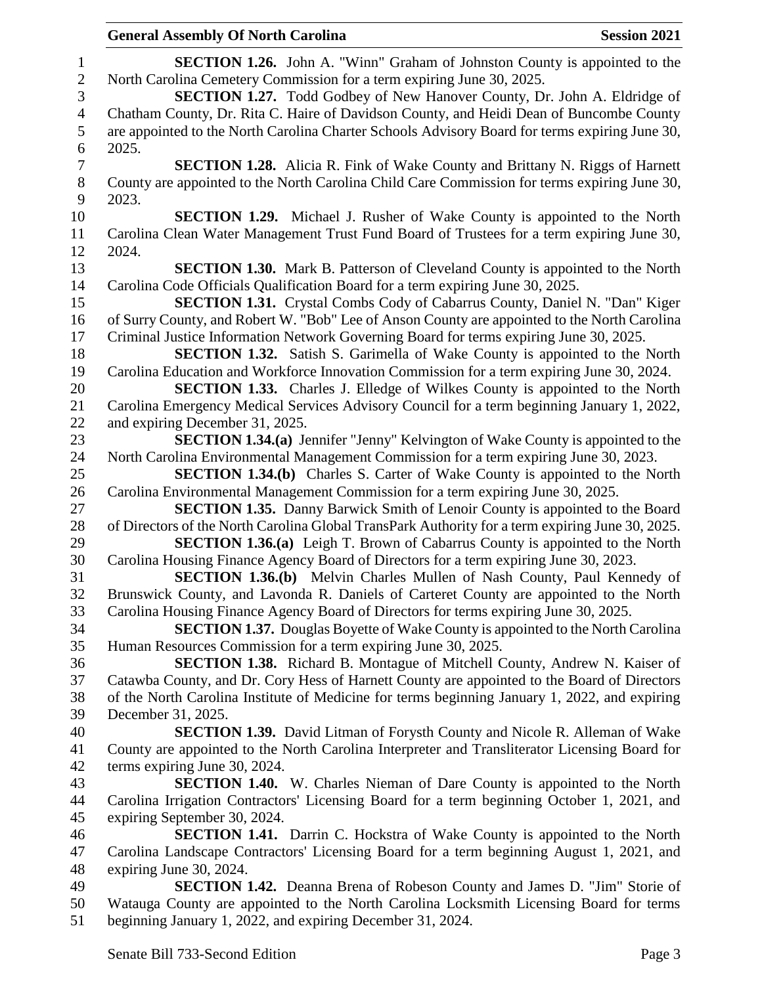| <b>General Assembly Of North Carolina</b><br><b>Session 2021</b>                                 |
|--------------------------------------------------------------------------------------------------|
| <b>SECTION 1.26.</b> John A. "Winn" Graham of Johnston County is appointed to the                |
| North Carolina Cemetery Commission for a term expiring June 30, 2025.                            |
| <b>SECTION 1.27.</b> Todd Godbey of New Hanover County, Dr. John A. Eldridge of                  |
| Chatham County, Dr. Rita C. Haire of Davidson County, and Heidi Dean of Buncombe County          |
| are appointed to the North Carolina Charter Schools Advisory Board for terms expiring June 30,   |
| 2025.                                                                                            |
| <b>SECTION 1.28.</b> Alicia R. Fink of Wake County and Brittany N. Riggs of Harnett              |
| County are appointed to the North Carolina Child Care Commission for terms expiring June 30,     |
| 2023.                                                                                            |
| <b>SECTION 1.29.</b> Michael J. Rusher of Wake County is appointed to the North                  |
| Carolina Clean Water Management Trust Fund Board of Trustees for a term expiring June 30,        |
| 2024.                                                                                            |
|                                                                                                  |
| <b>SECTION 1.30.</b> Mark B. Patterson of Cleveland County is appointed to the North             |
| Carolina Code Officials Qualification Board for a term expiring June 30, 2025.                   |
| SECTION 1.31. Crystal Combs Cody of Cabarrus County, Daniel N. "Dan" Kiger                       |
| of Surry County, and Robert W. "Bob" Lee of Anson County are appointed to the North Carolina     |
| Criminal Justice Information Network Governing Board for terms expiring June 30, 2025.           |
| <b>SECTION 1.32.</b> Satish S. Garimella of Wake County is appointed to the North                |
| Carolina Education and Workforce Innovation Commission for a term expiring June 30, 2024.        |
| <b>SECTION 1.33.</b> Charles J. Elledge of Wilkes County is appointed to the North               |
| Carolina Emergency Medical Services Advisory Council for a term beginning January 1, 2022,       |
| and expiring December 31, 2025.                                                                  |
| SECTION 1.34.(a) Jennifer "Jenny" Kelvington of Wake County is appointed to the                  |
| North Carolina Environmental Management Commission for a term expiring June 30, 2023.            |
| <b>SECTION 1.34.(b)</b> Charles S. Carter of Wake County is appointed to the North               |
| Carolina Environmental Management Commission for a term expiring June 30, 2025.                  |
| <b>SECTION 1.35.</b> Danny Barwick Smith of Lenoir County is appointed to the Board              |
| of Directors of the North Carolina Global TransPark Authority for a term expiring June 30, 2025. |
| <b>SECTION 1.36.(a)</b> Leigh T. Brown of Cabarrus County is appointed to the North              |
| Carolina Housing Finance Agency Board of Directors for a term expiring June 30, 2023.            |
| <b>SECTION 1.36.(b)</b> Melvin Charles Mullen of Nash County, Paul Kennedy of                    |
| Brunswick County, and Lavonda R. Daniels of Carteret County are appointed to the North           |
| Carolina Housing Finance Agency Board of Directors for terms expiring June 30, 2025.             |
| <b>SECTION 1.37.</b> Douglas Boyette of Wake County is appointed to the North Carolina           |
| Human Resources Commission for a term expiring June 30, 2025.                                    |
| SECTION 1.38. Richard B. Montague of Mitchell County, Andrew N. Kaiser of                        |
| Catawba County, and Dr. Cory Hess of Harnett County are appointed to the Board of Directors      |
| of the North Carolina Institute of Medicine for terms beginning January 1, 2022, and expiring    |
| December 31, 2025.                                                                               |
| <b>SECTION 1.39.</b> David Litman of Forysth County and Nicole R. Alleman of Wake                |
| County are appointed to the North Carolina Interpreter and Transliterator Licensing Board for    |
| terms expiring June 30, 2024.                                                                    |
| <b>SECTION 1.40.</b> W. Charles Nieman of Dare County is appointed to the North                  |
| Carolina Irrigation Contractors' Licensing Board for a term beginning October 1, 2021, and       |
| expiring September 30, 2024.                                                                     |
| <b>SECTION 1.41.</b> Darrin C. Hockstra of Wake County is appointed to the North                 |
| Carolina Landscape Contractors' Licensing Board for a term beginning August 1, 2021, and         |
| expiring June 30, 2024.                                                                          |
| <b>SECTION 1.42.</b> Deanna Brena of Robeson County and James D. "Jim" Storie of                 |
| Watauga County are appointed to the North Carolina Locksmith Licensing Board for terms           |
|                                                                                                  |
| beginning January 1, 2022, and expiring December 31, 2024.                                       |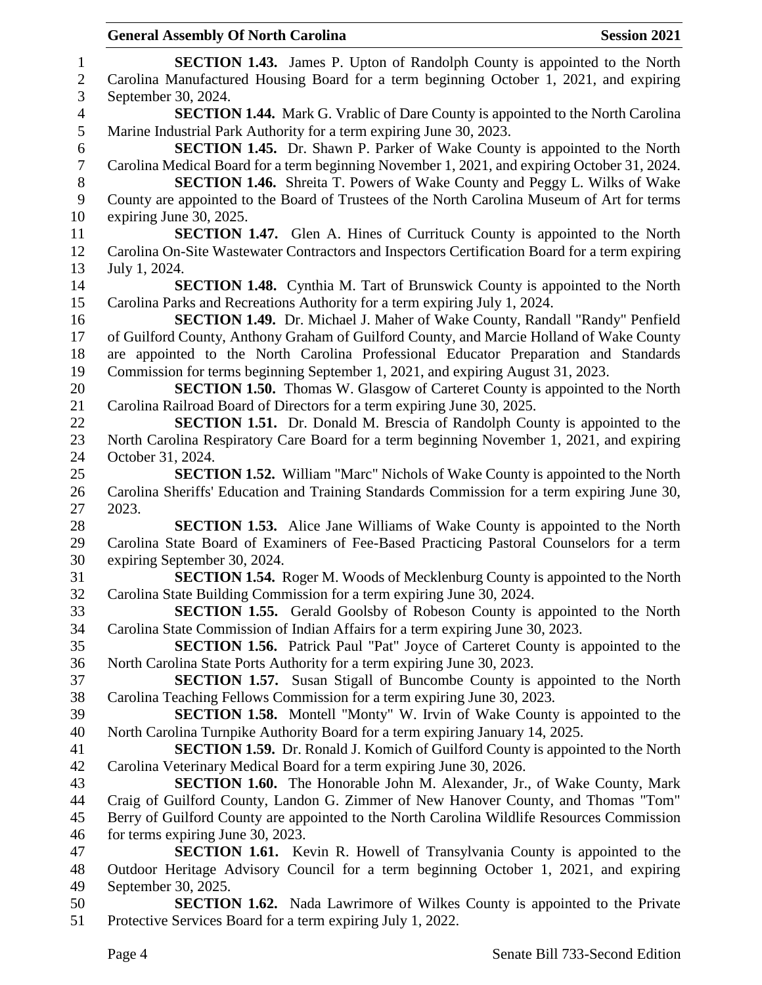| 1                        | <b>SECTION 1.43.</b> James P. Upton of Randolph County is appointed to the North                     |
|--------------------------|------------------------------------------------------------------------------------------------------|
| $\sqrt{2}$               | Carolina Manufactured Housing Board for a term beginning October 1, 2021, and expiring               |
| 3                        | September 30, 2024.                                                                                  |
| $\overline{\mathcal{A}}$ | <b>SECTION 1.44.</b> Mark G. Vrablic of Dare County is appointed to the North Carolina               |
| 5                        | Marine Industrial Park Authority for a term expiring June 30, 2023.                                  |
| 6                        | <b>SECTION 1.45.</b> Dr. Shawn P. Parker of Wake County is appointed to the North                    |
| $\overline{7}$           | Carolina Medical Board for a term beginning November 1, 2021, and expiring October 31, 2024.         |
| $8\,$                    | SECTION 1.46. Shreita T. Powers of Wake County and Peggy L. Wilks of Wake                            |
| 9                        | County are appointed to the Board of Trustees of the North Carolina Museum of Art for terms          |
| 10                       | expiring June 30, 2025.                                                                              |
| 11                       | SECTION 1.47. Glen A. Hines of Currituck County is appointed to the North                            |
| 12                       | Carolina On-Site Wastewater Contractors and Inspectors Certification Board for a term expiring       |
| 13                       | July 1, 2024.                                                                                        |
| 14                       | <b>SECTION 1.48.</b> Cynthia M. Tart of Brunswick County is appointed to the North                   |
| 15                       | Carolina Parks and Recreations Authority for a term expiring July 1, 2024.                           |
| 16                       | SECTION 1.49. Dr. Michael J. Maher of Wake County, Randall "Randy" Penfield                          |
| 17                       | of Guilford County, Anthony Graham of Guilford County, and Marcie Holland of Wake County             |
| 18                       | are appointed to the North Carolina Professional Educator Preparation and Standards                  |
| 19                       | Commission for terms beginning September 1, 2021, and expiring August 31, 2023.                      |
| 20                       | <b>SECTION 1.50.</b> Thomas W. Glasgow of Carteret County is appointed to the North                  |
| 21                       | Carolina Railroad Board of Directors for a term expiring June 30, 2025.                              |
| 22                       | <b>SECTION 1.51.</b> Dr. Donald M. Brescia of Randolph County is appointed to the                    |
| 23                       | North Carolina Respiratory Care Board for a term beginning November 1, 2021, and expiring            |
| 24                       | October 31, 2024.                                                                                    |
| 25<br>26                 | <b>SECTION 1.52.</b> William "Marc" Nichols of Wake County is appointed to the North                 |
| 27                       | Carolina Sheriffs' Education and Training Standards Commission for a term expiring June 30,<br>2023. |
| 28                       | <b>SECTION 1.53.</b> Alice Jane Williams of Wake County is appointed to the North                    |
| 29                       | Carolina State Board of Examiners of Fee-Based Practicing Pastoral Counselors for a term             |
| 30                       | expiring September 30, 2024.                                                                         |
| 31                       | <b>SECTION 1.54.</b> Roger M. Woods of Mecklenburg County is appointed to the North                  |
| 32                       | Carolina State Building Commission for a term expiring June 30, 2024.                                |
| 33                       | SECTION 1.55. Gerald Goolsby of Robeson County is appointed to the North                             |
| 34                       | Carolina State Commission of Indian Affairs for a term expiring June 30, 2023.                       |
| 35                       | <b>SECTION 1.56.</b> Patrick Paul "Pat" Joyce of Carteret County is appointed to the                 |
| 36                       | North Carolina State Ports Authority for a term expiring June 30, 2023.                              |
| 37                       | SECTION 1.57. Susan Stigall of Buncombe County is appointed to the North                             |
| 38                       | Carolina Teaching Fellows Commission for a term expiring June 30, 2023.                              |
| 39                       | SECTION 1.58. Montell "Monty" W. Irvin of Wake County is appointed to the                            |
| 40                       | North Carolina Turnpike Authority Board for a term expiring January 14, 2025.                        |
| 41                       | <b>SECTION 1.59.</b> Dr. Ronald J. Komich of Guilford County is appointed to the North               |
| 42                       | Carolina Veterinary Medical Board for a term expiring June 30, 2026.                                 |
| 43                       | <b>SECTION 1.60.</b> The Honorable John M. Alexander, Jr., of Wake County, Mark                      |
| 44                       | Craig of Guilford County, Landon G. Zimmer of New Hanover County, and Thomas "Tom"                   |
| 45                       | Berry of Guilford County are appointed to the North Carolina Wildlife Resources Commission           |
| 46                       | for terms expiring June 30, 2023.                                                                    |
| 47                       | <b>SECTION 1.61.</b> Kevin R. Howell of Transylvania County is appointed to the                      |
| 48                       | Outdoor Heritage Advisory Council for a term beginning October 1, 2021, and expiring                 |
| 49                       | September 30, 2025.                                                                                  |
| 50                       | <b>SECTION 1.62.</b> Nada Lawrimore of Wilkes County is appointed to the Private                     |

Protective Services Board for a term expiring July 1, 2022.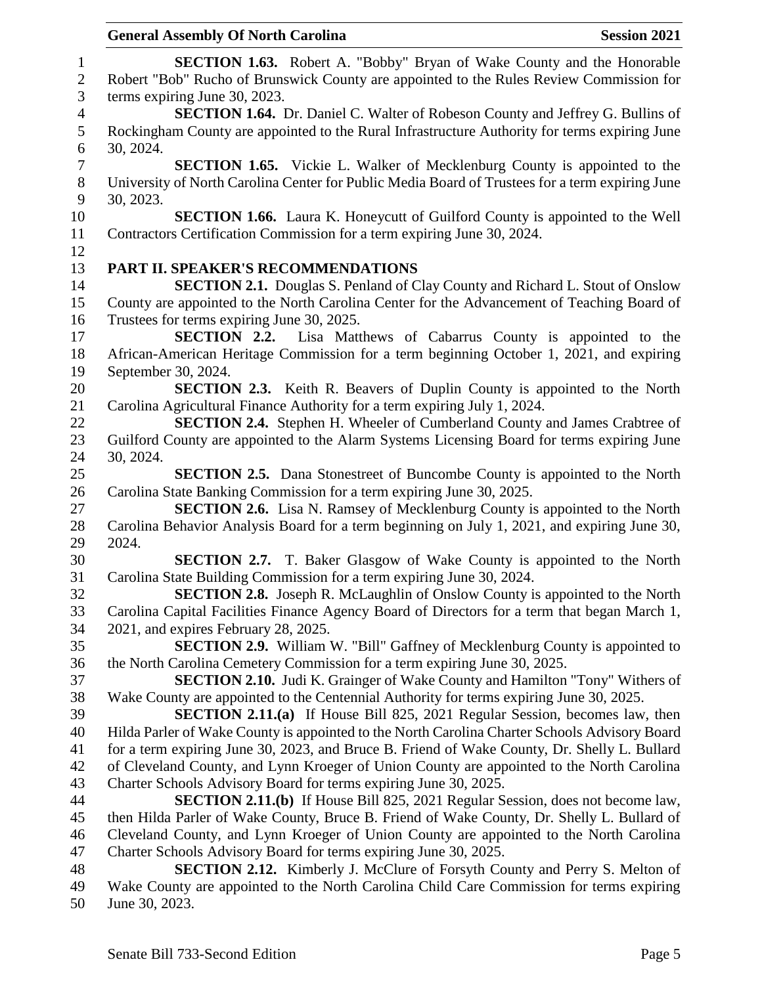| <b>General Assembly Of North Carolina</b><br><b>Session 2021</b>                                |
|-------------------------------------------------------------------------------------------------|
| <b>SECTION 1.63.</b> Robert A. "Bobby" Bryan of Wake County and the Honorable                   |
| Robert "Bob" Rucho of Brunswick County are appointed to the Rules Review Commission for         |
| terms expiring June 30, 2023.                                                                   |
| <b>SECTION 1.64.</b> Dr. Daniel C. Walter of Robeson County and Jeffrey G. Bullins of           |
| Rockingham County are appointed to the Rural Infrastructure Authority for terms expiring June   |
| 30, 2024.                                                                                       |
| <b>SECTION 1.65.</b> Vickie L. Walker of Mecklenburg County is appointed to the                 |
| University of North Carolina Center for Public Media Board of Trustees for a term expiring June |
| 30, 2023.                                                                                       |
| <b>SECTION 1.66.</b> Laura K. Honeycutt of Guilford County is appointed to the Well             |
| Contractors Certification Commission for a term expiring June 30, 2024.                         |
|                                                                                                 |
| PART II. SPEAKER'S RECOMMENDATIONS                                                              |
| <b>SECTION 2.1.</b> Douglas S. Penland of Clay County and Richard L. Stout of Onslow            |
| County are appointed to the North Carolina Center for the Advancement of Teaching Board of      |
| Trustees for terms expiring June 30, 2025.                                                      |
| <b>SECTION 2.2.</b> Lisa Matthews of Cabarrus County is appointed to the                        |
| African-American Heritage Commission for a term beginning October 1, 2021, and expiring         |
| September 30, 2024.                                                                             |
| <b>SECTION 2.3.</b> Keith R. Beavers of Duplin County is appointed to the North                 |
| Carolina Agricultural Finance Authority for a term expiring July 1, 2024.                       |
| <b>SECTION 2.4.</b> Stephen H. Wheeler of Cumberland County and James Crabtree of               |
| Guilford County are appointed to the Alarm Systems Licensing Board for terms expiring June      |
| 30, 2024.                                                                                       |
| <b>SECTION 2.5.</b> Dana Stonestreet of Buncombe County is appointed to the North               |
| Carolina State Banking Commission for a term expiring June 30, 2025.                            |
| <b>SECTION 2.6.</b> Lisa N. Ramsey of Mecklenburg County is appointed to the North              |
| Carolina Behavior Analysis Board for a term beginning on July 1, 2021, and expiring June 30,    |
| 2024.                                                                                           |
| SECTION 2.7. T. Baker Glasgow of Wake County is appointed to the North                          |
| Carolina State Building Commission for a term expiring June 30, 2024.                           |
| <b>SECTION 2.8.</b> Joseph R. McLaughlin of Onslow County is appointed to the North             |
| Carolina Capital Facilities Finance Agency Board of Directors for a term that began March 1,    |
| 2021, and expires February 28, 2025.                                                            |
| <b>SECTION 2.9.</b> William W. "Bill" Gaffney of Mecklenburg County is appointed to             |
| the North Carolina Cemetery Commission for a term expiring June 30, 2025.                       |
| <b>SECTION 2.10.</b> Judi K. Grainger of Wake County and Hamilton "Tony" Withers of             |
| Wake County are appointed to the Centennial Authority for terms expiring June 30, 2025.         |
| <b>SECTION 2.11.(a)</b> If House Bill 825, 2021 Regular Session, becomes law, then              |
| Hilda Parler of Wake County is appointed to the North Carolina Charter Schools Advisory Board   |
| for a term expiring June 30, 2023, and Bruce B. Friend of Wake County, Dr. Shelly L. Bullard    |
| of Cleveland County, and Lynn Kroeger of Union County are appointed to the North Carolina       |
| Charter Schools Advisory Board for terms expiring June 30, 2025.                                |
| <b>SECTION 2.11.(b)</b> If House Bill 825, 2021 Regular Session, does not become law,           |
| then Hilda Parler of Wake County, Bruce B. Friend of Wake County, Dr. Shelly L. Bullard of      |
| Cleveland County, and Lynn Kroeger of Union County are appointed to the North Carolina          |
| Charter Schools Advisory Board for terms expiring June 30, 2025.                                |
| SECTION 2.12. Kimberly J. McClure of Forsyth County and Perry S. Melton of                      |
| Wake County are appointed to the North Carolina Child Care Commission for terms expiring        |
|                                                                                                 |

June 30, 2023.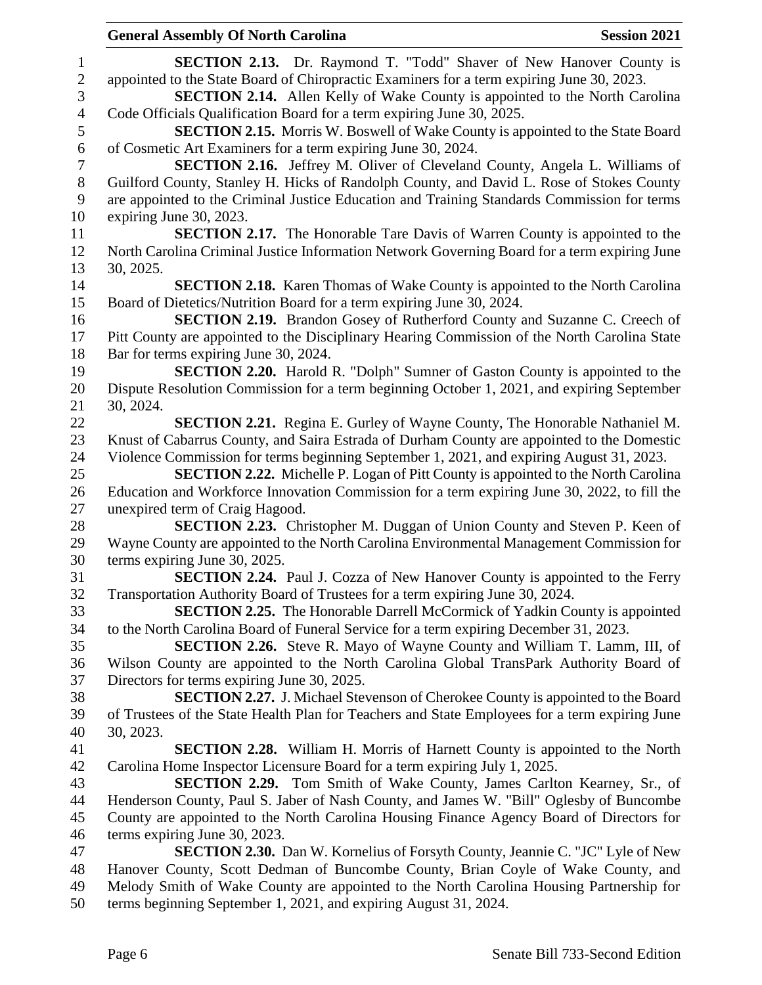|                  | <b>General Assembly Of North Carolina</b>                                                                                                                                           | <b>Session 2021</b> |
|------------------|-------------------------------------------------------------------------------------------------------------------------------------------------------------------------------------|---------------------|
| $\mathbf{1}$     | <b>SECTION 2.13.</b> Dr. Raymond T. "Todd" Shaver of New Hanover County is                                                                                                          |                     |
| $\overline{c}$   | appointed to the State Board of Chiropractic Examiners for a term expiring June 30, 2023.                                                                                           |                     |
| 3                | <b>SECTION 2.14.</b> Allen Kelly of Wake County is appointed to the North Carolina                                                                                                  |                     |
| $\overline{4}$   | Code Officials Qualification Board for a term expiring June 30, 2025.                                                                                                               |                     |
| 5                | <b>SECTION 2.15.</b> Morris W. Boswell of Wake County is appointed to the State Board                                                                                               |                     |
| $\boldsymbol{6}$ | of Cosmetic Art Examiners for a term expiring June 30, 2024.                                                                                                                        |                     |
| $\boldsymbol{7}$ | SECTION 2.16. Jeffrey M. Oliver of Cleveland County, Angela L. Williams of                                                                                                          |                     |
| $8\,$            | Guilford County, Stanley H. Hicks of Randolph County, and David L. Rose of Stokes County                                                                                            |                     |
| 9                | are appointed to the Criminal Justice Education and Training Standards Commission for terms                                                                                         |                     |
| 10               | expiring June 30, 2023.                                                                                                                                                             |                     |
| 11               | <b>SECTION 2.17.</b> The Honorable Tare Davis of Warren County is appointed to the                                                                                                  |                     |
| 12               | North Carolina Criminal Justice Information Network Governing Board for a term expiring June                                                                                        |                     |
| 13               | 30, 2025.                                                                                                                                                                           |                     |
| 14               | <b>SECTION 2.18.</b> Karen Thomas of Wake County is appointed to the North Carolina                                                                                                 |                     |
| 15               | Board of Dietetics/Nutrition Board for a term expiring June 30, 2024.                                                                                                               |                     |
| 16               | SECTION 2.19. Brandon Gosey of Rutherford County and Suzanne C. Creech of                                                                                                           |                     |
| 17               | Pitt County are appointed to the Disciplinary Hearing Commission of the North Carolina State                                                                                        |                     |
| 18               | Bar for terms expiring June 30, 2024.                                                                                                                                               |                     |
| 19               | <b>SECTION 2.20.</b> Harold R. "Dolph" Sumner of Gaston County is appointed to the                                                                                                  |                     |
| 20               | Dispute Resolution Commission for a term beginning October 1, 2021, and expiring September                                                                                          |                     |
| 21               | 30, 2024.                                                                                                                                                                           |                     |
| 22<br>23         | <b>SECTION 2.21.</b> Regina E. Gurley of Wayne County, The Honorable Nathaniel M.<br>Knust of Cabarrus County, and Saira Estrada of Durham County are appointed to the Domestic     |                     |
| 24               | Violence Commission for terms beginning September 1, 2021, and expiring August 31, 2023.                                                                                            |                     |
| 25               | <b>SECTION 2.22.</b> Michelle P. Logan of Pitt County is appointed to the North Carolina                                                                                            |                     |
| 26               | Education and Workforce Innovation Commission for a term expiring June 30, 2022, to fill the                                                                                        |                     |
| 27               | unexpired term of Craig Hagood.                                                                                                                                                     |                     |
| 28               | <b>SECTION 2.23.</b> Christopher M. Duggan of Union County and Steven P. Keen of                                                                                                    |                     |
| 29               | Wayne County are appointed to the North Carolina Environmental Management Commission for                                                                                            |                     |
| 30               | terms expiring June 30, 2025.                                                                                                                                                       |                     |
| 31               | <b>SECTION 2.24.</b> Paul J. Cozza of New Hanover County is appointed to the Ferry                                                                                                  |                     |
| 32               | Transportation Authority Board of Trustees for a term expiring June 30, 2024.                                                                                                       |                     |
| 33               | <b>SECTION 2.25.</b> The Honorable Darrell McCormick of Yadkin County is appointed                                                                                                  |                     |
| 34               | to the North Carolina Board of Funeral Service for a term expiring December 31, 2023.                                                                                               |                     |
| 35               | <b>SECTION 2.26.</b> Steve R. Mayo of Wayne County and William T. Lamm, III, of                                                                                                     |                     |
| 36               | Wilson County are appointed to the North Carolina Global TransPark Authority Board of                                                                                               |                     |
| 37               | Directors for terms expiring June 30, 2025.                                                                                                                                         |                     |
| 38               | <b>SECTION 2.27.</b> J. Michael Stevenson of Cherokee County is appointed to the Board                                                                                              |                     |
| 39               | of Trustees of the State Health Plan for Teachers and State Employees for a term expiring June                                                                                      |                     |
| 40               | 30, 2023.                                                                                                                                                                           |                     |
| 41               | <b>SECTION 2.28.</b> William H. Morris of Harnett County is appointed to the North                                                                                                  |                     |
| 42               | Carolina Home Inspector Licensure Board for a term expiring July 1, 2025.                                                                                                           |                     |
| 43               | <b>SECTION 2.29.</b> Tom Smith of Wake County, James Carlton Kearney, Sr., of                                                                                                       |                     |
| 44<br>45         | Henderson County, Paul S. Jaber of Nash County, and James W. "Bill" Oglesby of Buncombe<br>County are appointed to the North Carolina Housing Finance Agency Board of Directors for |                     |
| 46               | terms expiring June 30, 2023.                                                                                                                                                       |                     |
| 47               | <b>SECTION 2.30.</b> Dan W. Kornelius of Forsyth County, Jeannie C. "JC" Lyle of New                                                                                                |                     |
| 48               | Hanover County, Scott Dedman of Buncombe County, Brian Coyle of Wake County, and                                                                                                    |                     |
| 49               | Melody Smith of Wake County are appointed to the North Carolina Housing Partnership for                                                                                             |                     |
| 50               | terms beginning September 1, 2021, and expiring August 31, 2024.                                                                                                                    |                     |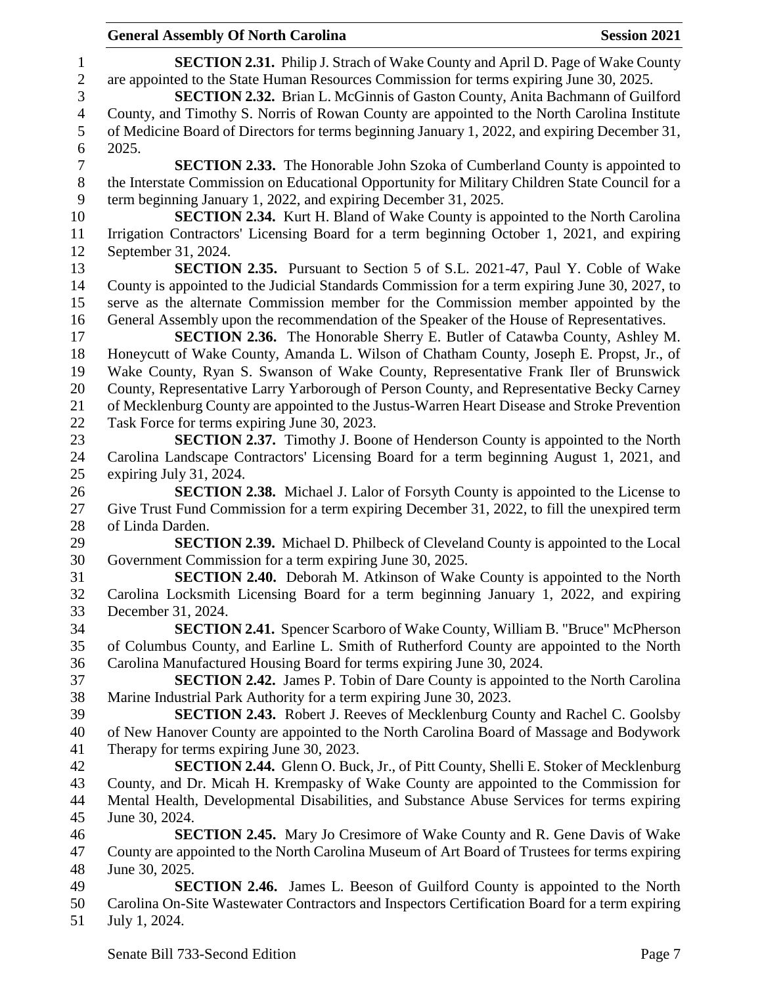|                          | <b>General Assembly Of North Carolina</b>                                                      | <b>Session 2021</b> |
|--------------------------|------------------------------------------------------------------------------------------------|---------------------|
| $\mathbf{1}$             | <b>SECTION 2.31.</b> Philip J. Strach of Wake County and April D. Page of Wake County          |                     |
| $\mathbf{2}$             | are appointed to the State Human Resources Commission for terms expiring June 30, 2025.        |                     |
| 3                        | SECTION 2.32. Brian L. McGinnis of Gaston County, Anita Bachmann of Guilford                   |                     |
| $\overline{\mathcal{A}}$ | County, and Timothy S. Norris of Rowan County are appointed to the North Carolina Institute    |                     |
| 5                        | of Medicine Board of Directors for terms beginning January 1, 2022, and expiring December 31,  |                     |
| 6                        | 2025.                                                                                          |                     |
| $\boldsymbol{7}$         | <b>SECTION 2.33.</b> The Honorable John Szoka of Cumberland County is appointed to             |                     |
| $8\,$                    | the Interstate Commission on Educational Opportunity for Military Children State Council for a |                     |
| 9                        | term beginning January 1, 2022, and expiring December 31, 2025.                                |                     |
| 10                       | <b>SECTION 2.34.</b> Kurt H. Bland of Wake County is appointed to the North Carolina           |                     |
| 11                       | Irrigation Contractors' Licensing Board for a term beginning October 1, 2021, and expiring     |                     |
| 12                       | September 31, 2024.                                                                            |                     |
| 13                       | <b>SECTION 2.35.</b> Pursuant to Section 5 of S.L. 2021-47, Paul Y. Coble of Wake              |                     |
| 14                       | County is appointed to the Judicial Standards Commission for a term expiring June 30, 2027, to |                     |
| 15                       |                                                                                                |                     |
|                          | serve as the alternate Commission member for the Commission member appointed by the            |                     |
| 16                       | General Assembly upon the recommendation of the Speaker of the House of Representatives.       |                     |
| 17                       | <b>SECTION 2.36.</b> The Honorable Sherry E. Butler of Catawba County, Ashley M.               |                     |
| 18                       | Honeycutt of Wake County, Amanda L. Wilson of Chatham County, Joseph E. Propst, Jr., of        |                     |
| 19                       | Wake County, Ryan S. Swanson of Wake County, Representative Frank Iler of Brunswick            |                     |
| 20                       | County, Representative Larry Yarborough of Person County, and Representative Becky Carney      |                     |
| 21                       | of Mecklenburg County are appointed to the Justus-Warren Heart Disease and Stroke Prevention   |                     |
| 22                       | Task Force for terms expiring June 30, 2023.                                                   |                     |
| 23                       | <b>SECTION 2.37.</b> Timothy J. Boone of Henderson County is appointed to the North            |                     |
| 24                       | Carolina Landscape Contractors' Licensing Board for a term beginning August 1, 2021, and       |                     |
| 25                       | expiring July 31, 2024.                                                                        |                     |
| 26                       | <b>SECTION 2.38.</b> Michael J. Lalor of Forsyth County is appointed to the License to         |                     |
| 27                       | Give Trust Fund Commission for a term expiring December 31, 2022, to fill the unexpired term   |                     |
| 28                       | of Linda Darden.                                                                               |                     |
| 29                       | <b>SECTION 2.39.</b> Michael D. Philbeck of Cleveland County is appointed to the Local         |                     |
| 30                       | Government Commission for a term expiring June 30, 2025.                                       |                     |
| 31                       | SECTION 2.40. Deborah M. Atkinson of Wake County is appointed to the North                     |                     |
| 32                       | Carolina Locksmith Licensing Board for a term beginning January 1, 2022, and expiring          |                     |
| 33                       | December 31, 2024.                                                                             |                     |
| 34                       | <b>SECTION 2.41.</b> Spencer Scarboro of Wake County, William B. "Bruce" McPherson             |                     |
| 35                       | of Columbus County, and Earline L. Smith of Rutherford County are appointed to the North       |                     |
| 36                       | Carolina Manufactured Housing Board for terms expiring June 30, 2024.                          |                     |
| 37                       | <b>SECTION 2.42.</b> James P. Tobin of Dare County is appointed to the North Carolina          |                     |
| 38                       | Marine Industrial Park Authority for a term expiring June 30, 2023.                            |                     |
| 39                       | <b>SECTION 2.43.</b> Robert J. Reeves of Mecklenburg County and Rachel C. Goolsby              |                     |
| 40                       | of New Hanover County are appointed to the North Carolina Board of Massage and Bodywork        |                     |
| 41                       | Therapy for terms expiring June 30, 2023.                                                      |                     |
| 42                       | <b>SECTION 2.44.</b> Glenn O. Buck, Jr., of Pitt County, Shelli E. Stoker of Mecklenburg       |                     |
| 43                       | County, and Dr. Micah H. Krempasky of Wake County are appointed to the Commission for          |                     |
| 44                       | Mental Health, Developmental Disabilities, and Substance Abuse Services for terms expiring     |                     |
| 45                       | June 30, 2024.                                                                                 |                     |
| 46                       | <b>SECTION 2.45.</b> Mary Jo Cresimore of Wake County and R. Gene Davis of Wake                |                     |
| 47                       | County are appointed to the North Carolina Museum of Art Board of Trustees for terms expiring  |                     |
| 48                       | June 30, 2025.                                                                                 |                     |
| 49                       | <b>SECTION 2.46.</b> James L. Beeson of Guilford County is appointed to the North              |                     |
| 50                       | Carolina On-Site Wastewater Contractors and Inspectors Certification Board for a term expiring |                     |
| 51                       | July 1, 2024.                                                                                  |                     |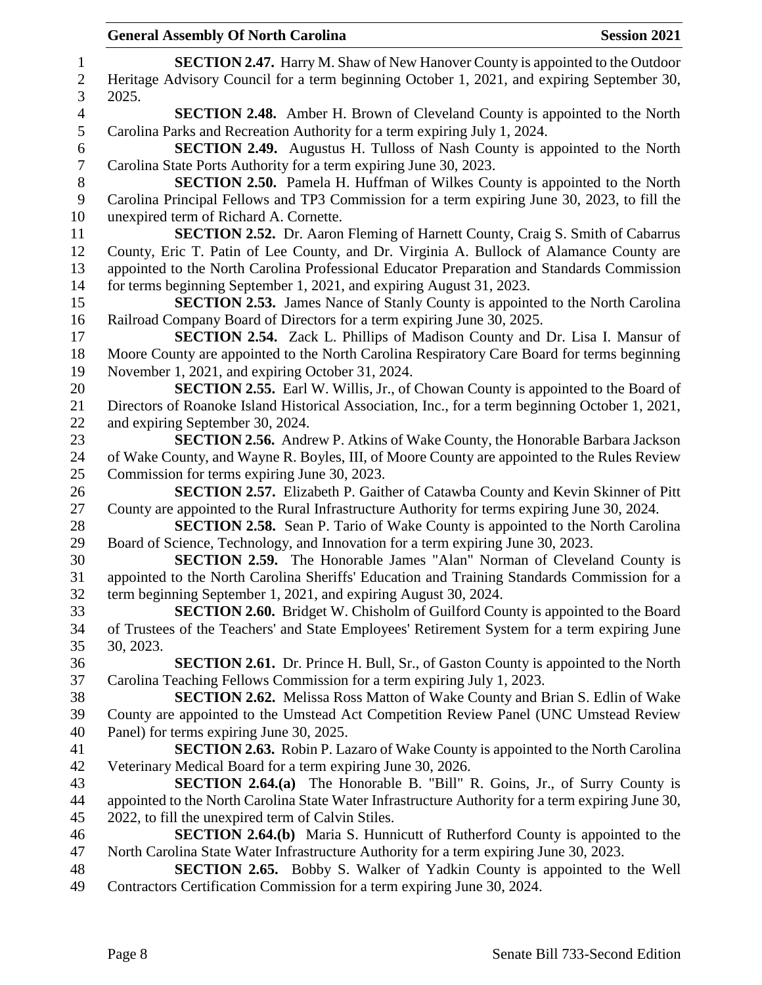| $\mathbf{1}$   | <b>SECTION 2.47.</b> Harry M. Shaw of New Hanover County is appointed to the Outdoor                                                        |
|----------------|---------------------------------------------------------------------------------------------------------------------------------------------|
| $\sqrt{2}$     | Heritage Advisory Council for a term beginning October 1, 2021, and expiring September 30,                                                  |
| 3              | 2025.                                                                                                                                       |
| 4              | <b>SECTION 2.48.</b> Amber H. Brown of Cleveland County is appointed to the North                                                           |
| $\sqrt{5}$     | Carolina Parks and Recreation Authority for a term expiring July 1, 2024.                                                                   |
| 6              | <b>SECTION 2.49.</b> Augustus H. Tulloss of Nash County is appointed to the North                                                           |
| $\overline{7}$ | Carolina State Ports Authority for a term expiring June 30, 2023.                                                                           |
| $8\,$          | SECTION 2.50. Pamela H. Huffman of Wilkes County is appointed to the North                                                                  |
| 9              | Carolina Principal Fellows and TP3 Commission for a term expiring June 30, 2023, to fill the                                                |
| 10             | unexpired term of Richard A. Cornette.                                                                                                      |
| 11             | SECTION 2.52. Dr. Aaron Fleming of Harnett County, Craig S. Smith of Cabarrus                                                               |
| 12             | County, Eric T. Patin of Lee County, and Dr. Virginia A. Bullock of Alamance County are                                                     |
| 13             | appointed to the North Carolina Professional Educator Preparation and Standards Commission                                                  |
| 14             | for terms beginning September 1, 2021, and expiring August 31, 2023.                                                                        |
| 15             | <b>SECTION 2.53.</b> James Nance of Stanly County is appointed to the North Carolina                                                        |
| 16             | Railroad Company Board of Directors for a term expiring June 30, 2025.                                                                      |
| 17             | SECTION 2.54. Zack L. Phillips of Madison County and Dr. Lisa I. Mansur of                                                                  |
| 18             | Moore County are appointed to the North Carolina Respiratory Care Board for terms beginning                                                 |
| 19             | November 1, 2021, and expiring October 31, 2024.                                                                                            |
| 20             | <b>SECTION 2.55.</b> Earl W. Willis, Jr., of Chowan County is appointed to the Board of                                                     |
| 21             | Directors of Roanoke Island Historical Association, Inc., for a term beginning October 1, 2021,                                             |
| 22             | and expiring September 30, 2024.                                                                                                            |
| 23             | <b>SECTION 2.56.</b> Andrew P. Atkins of Wake County, the Honorable Barbara Jackson                                                         |
| 24<br>25       | of Wake County, and Wayne R. Boyles, III, of Moore County are appointed to the Rules Review<br>Commission for terms expiring June 30, 2023. |
| 26             | <b>SECTION 2.57.</b> Elizabeth P. Gaither of Catawba County and Kevin Skinner of Pitt                                                       |
| 27             | County are appointed to the Rural Infrastructure Authority for terms expiring June 30, 2024.                                                |
| 28             | <b>SECTION 2.58.</b> Sean P. Tario of Wake County is appointed to the North Carolina                                                        |
| 29             | Board of Science, Technology, and Innovation for a term expiring June 30, 2023.                                                             |
| 30             | <b>SECTION 2.59.</b> The Honorable James "Alan" Norman of Cleveland County is                                                               |
| 31             | appointed to the North Carolina Sheriffs' Education and Training Standards Commission for a                                                 |
| 32             | term beginning September 1, 2021, and expiring August 30, 2024.                                                                             |
| 33             | SECTION 2.60. Bridget W. Chisholm of Guilford County is appointed to the Board                                                              |
| 34             | of Trustees of the Teachers' and State Employees' Retirement System for a term expiring June                                                |
| 35             | 30, 2023.                                                                                                                                   |
| 36             | <b>SECTION 2.61.</b> Dr. Prince H. Bull, Sr., of Gaston County is appointed to the North                                                    |
| 37             | Carolina Teaching Fellows Commission for a term expiring July 1, 2023.                                                                      |
| 38             | <b>SECTION 2.62.</b> Melissa Ross Matton of Wake County and Brian S. Edlin of Wake                                                          |
| 39             | County are appointed to the Umstead Act Competition Review Panel (UNC Umstead Review                                                        |
| 40             | Panel) for terms expiring June 30, 2025.                                                                                                    |
| 41             | <b>SECTION 2.63.</b> Robin P. Lazaro of Wake County is appointed to the North Carolina                                                      |
| 42             | Veterinary Medical Board for a term expiring June 30, 2026.                                                                                 |
| 43             | <b>SECTION 2.64.(a)</b> The Honorable B. "Bill" R. Goins, Jr., of Surry County is                                                           |
| 44             | appointed to the North Carolina State Water Infrastructure Authority for a term expiring June 30,                                           |
| 45             | 2022, to fill the unexpired term of Calvin Stiles.                                                                                          |
| 46             | <b>SECTION 2.64.(b)</b> Maria S. Hunnicutt of Rutherford County is appointed to the                                                         |
| 47             | North Carolina State Water Infrastructure Authority for a term expiring June 30, 2023.                                                      |
| 48             | <b>SECTION 2.65.</b> Bobby S. Walker of Yadkin County is appointed to the Well                                                              |
| 49             | Contractors Certification Commission for a term expiring June 30, 2024.                                                                     |